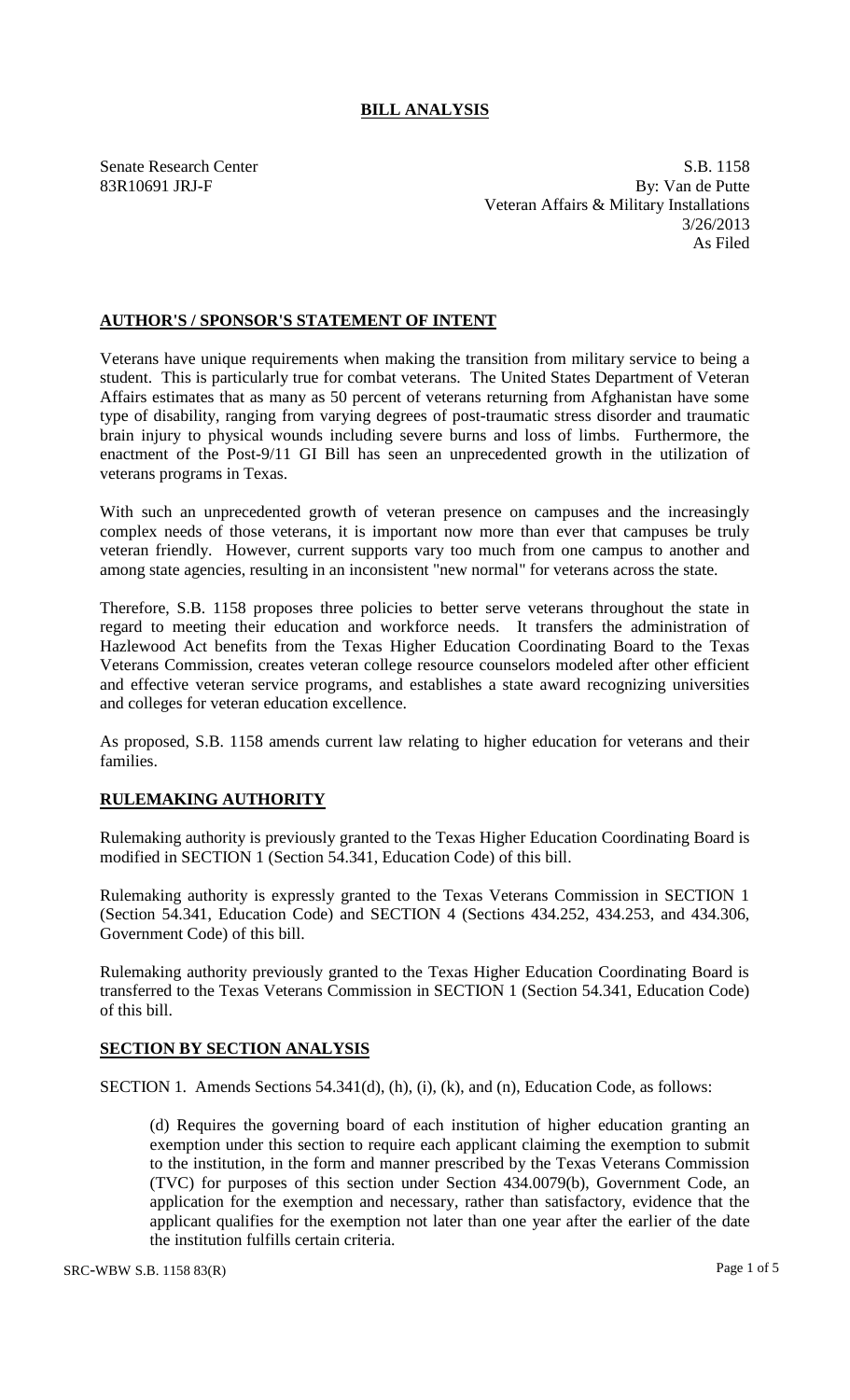## **BILL ANALYSIS**

Senate Research Center S.B. 1158 83R10691 JRJ-F By: Van de Putte Veteran Affairs & Military Installations 3/26/2013 As Filed

### **AUTHOR'S / SPONSOR'S STATEMENT OF INTENT**

Veterans have unique requirements when making the transition from military service to being a student. This is particularly true for combat veterans. The United States Department of Veteran Affairs estimates that as many as 50 percent of veterans returning from Afghanistan have some type of disability, ranging from varying degrees of post-traumatic stress disorder and traumatic brain injury to physical wounds including severe burns and loss of limbs. Furthermore, the enactment of the Post-9/11 GI Bill has seen an unprecedented growth in the utilization of veterans programs in Texas.

With such an unprecedented growth of veteran presence on campuses and the increasingly complex needs of those veterans, it is important now more than ever that campuses be truly veteran friendly. However, current supports vary too much from one campus to another and among state agencies, resulting in an inconsistent "new normal" for veterans across the state.

Therefore, S.B. 1158 proposes three policies to better serve veterans throughout the state in regard to meeting their education and workforce needs. It transfers the administration of Hazlewood Act benefits from the Texas Higher Education Coordinating Board to the Texas Veterans Commission, creates veteran college resource counselors modeled after other efficient and effective veteran service programs, and establishes a state award recognizing universities and colleges for veteran education excellence.

As proposed, S.B. 1158 amends current law relating to higher education for veterans and their families.

# **RULEMAKING AUTHORITY**

Rulemaking authority is previously granted to the Texas Higher Education Coordinating Board is modified in SECTION 1 (Section 54.341, Education Code) of this bill.

Rulemaking authority is expressly granted to the Texas Veterans Commission in SECTION 1 (Section 54.341, Education Code) and SECTION 4 (Sections 434.252, 434.253, and 434.306, Government Code) of this bill.

Rulemaking authority previously granted to the Texas Higher Education Coordinating Board is transferred to the Texas Veterans Commission in SECTION 1 (Section 54.341, Education Code) of this bill.

### **SECTION BY SECTION ANALYSIS**

SECTION 1. Amends Sections 54.341(d), (h), (i), (k), and (n), Education Code, as follows:

(d) Requires the governing board of each institution of higher education granting an exemption under this section to require each applicant claiming the exemption to submit to the institution, in the form and manner prescribed by the Texas Veterans Commission (TVC) for purposes of this section under Section 434.0079(b), Government Code, an application for the exemption and necessary, rather than satisfactory, evidence that the applicant qualifies for the exemption not later than one year after the earlier of the date the institution fulfills certain criteria.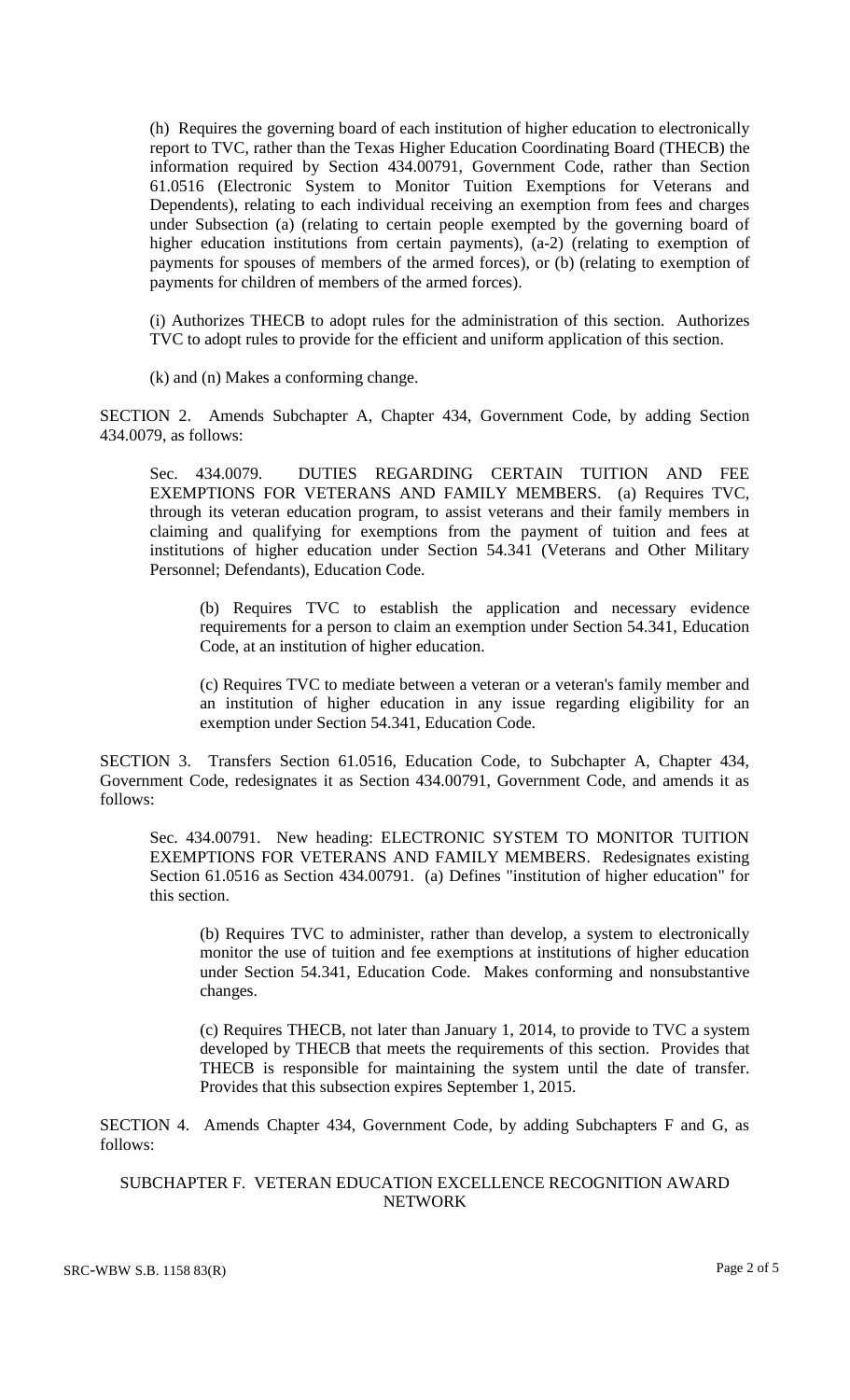(h) Requires the governing board of each institution of higher education to electronically report to TVC, rather than the Texas Higher Education Coordinating Board (THECB) the information required by Section 434.00791, Government Code, rather than Section 61.0516 (Electronic System to Monitor Tuition Exemptions for Veterans and Dependents), relating to each individual receiving an exemption from fees and charges under Subsection (a) (relating to certain people exempted by the governing board of higher education institutions from certain payments), (a-2) (relating to exemption of payments for spouses of members of the armed forces), or (b) (relating to exemption of payments for children of members of the armed forces).

(i) Authorizes THECB to adopt rules for the administration of this section. Authorizes TVC to adopt rules to provide for the efficient and uniform application of this section.

(k) and (n) Makes a conforming change.

SECTION 2. Amends Subchapter A, Chapter 434, Government Code, by adding Section 434.0079, as follows:

Sec. 434.0079. DUTIES REGARDING CERTAIN TUITION AND FEE EXEMPTIONS FOR VETERANS AND FAMILY MEMBERS. (a) Requires TVC, through its veteran education program, to assist veterans and their family members in claiming and qualifying for exemptions from the payment of tuition and fees at institutions of higher education under Section 54.341 (Veterans and Other Military Personnel; Defendants), Education Code.

(b) Requires TVC to establish the application and necessary evidence requirements for a person to claim an exemption under Section 54.341, Education Code, at an institution of higher education.

(c) Requires TVC to mediate between a veteran or a veteran's family member and an institution of higher education in any issue regarding eligibility for an exemption under Section 54.341, Education Code.

SECTION 3. Transfers Section 61.0516, Education Code, to Subchapter A, Chapter 434, Government Code, redesignates it as Section 434.00791, Government Code, and amends it as follows:

Sec. 434.00791. New heading: ELECTRONIC SYSTEM TO MONITOR TUITION EXEMPTIONS FOR VETERANS AND FAMILY MEMBERS. Redesignates existing Section 61.0516 as Section 434.00791. (a) Defines "institution of higher education" for this section.

(b) Requires TVC to administer, rather than develop, a system to electronically monitor the use of tuition and fee exemptions at institutions of higher education under Section 54.341, Education Code. Makes conforming and nonsubstantive changes.

(c) Requires THECB, not later than January 1, 2014, to provide to TVC a system developed by THECB that meets the requirements of this section. Provides that THECB is responsible for maintaining the system until the date of transfer. Provides that this subsection expires September 1, 2015.

SECTION 4. Amends Chapter 434, Government Code, by adding Subchapters F and G, as follows:

#### SUBCHAPTER F. VETERAN EDUCATION EXCELLENCE RECOGNITION AWARD NETWORK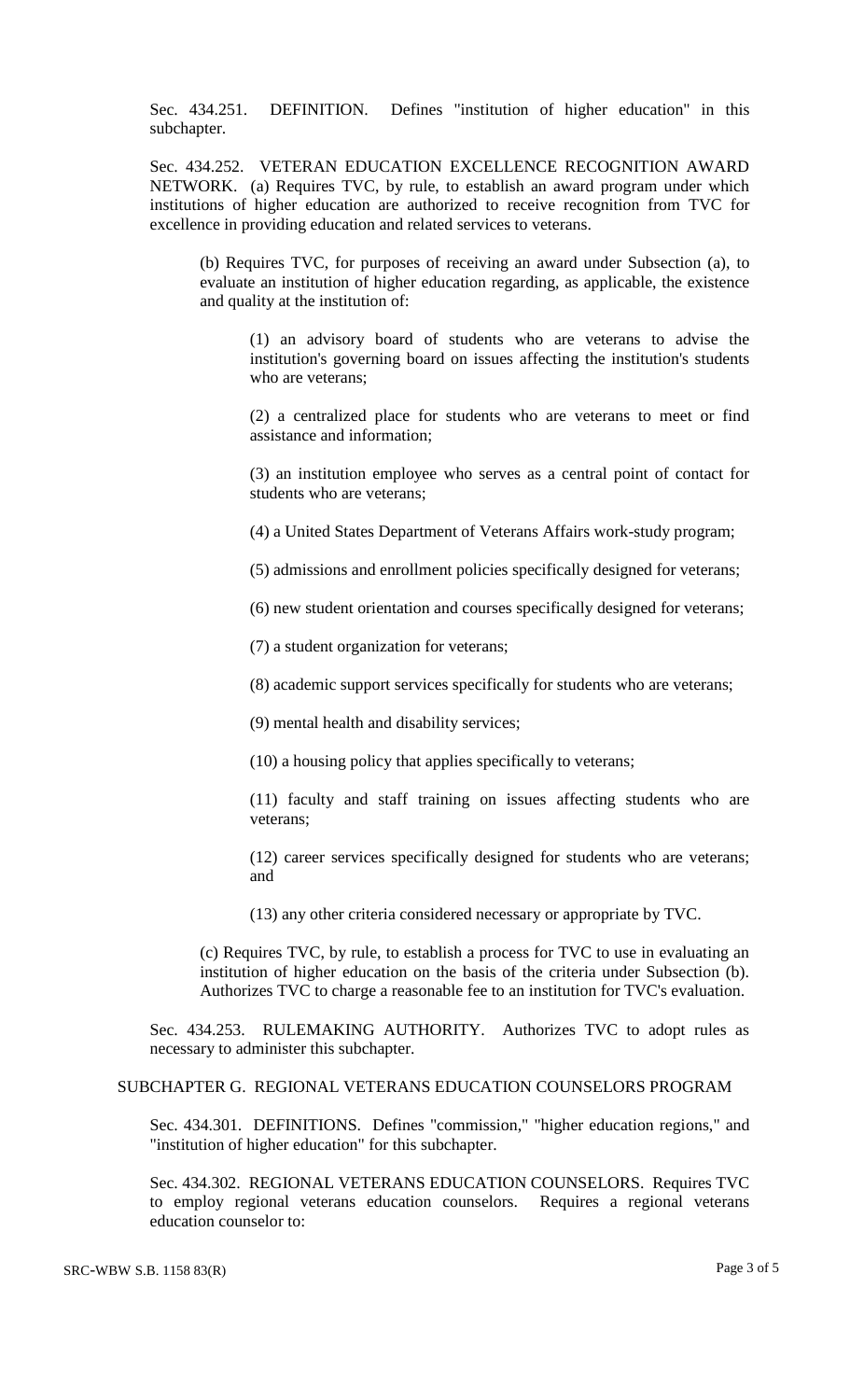Sec. 434.251. DEFINITION. Defines "institution of higher education" in this subchapter.

Sec. 434.252. VETERAN EDUCATION EXCELLENCE RECOGNITION AWARD NETWORK. (a) Requires TVC, by rule, to establish an award program under which institutions of higher education are authorized to receive recognition from TVC for excellence in providing education and related services to veterans.

(b) Requires TVC, for purposes of receiving an award under Subsection (a), to evaluate an institution of higher education regarding, as applicable, the existence and quality at the institution of:

(1) an advisory board of students who are veterans to advise the institution's governing board on issues affecting the institution's students who are veterans;

(2) a centralized place for students who are veterans to meet or find assistance and information;

(3) an institution employee who serves as a central point of contact for students who are veterans;

(4) a United States Department of Veterans Affairs work-study program;

(5) admissions and enrollment policies specifically designed for veterans;

(6) new student orientation and courses specifically designed for veterans;

(7) a student organization for veterans;

(8) academic support services specifically for students who are veterans;

(9) mental health and disability services;

(10) a housing policy that applies specifically to veterans;

(11) faculty and staff training on issues affecting students who are veterans;

(12) career services specifically designed for students who are veterans; and

(13) any other criteria considered necessary or appropriate by TVC.

(c) Requires TVC, by rule, to establish a process for TVC to use in evaluating an institution of higher education on the basis of the criteria under Subsection (b). Authorizes TVC to charge a reasonable fee to an institution for TVC's evaluation.

Sec. 434.253. RULEMAKING AUTHORITY. Authorizes TVC to adopt rules as necessary to administer this subchapter.

SUBCHAPTER G. REGIONAL VETERANS EDUCATION COUNSELORS PROGRAM

Sec. 434.301. DEFINITIONS. Defines "commission," "higher education regions," and "institution of higher education" for this subchapter.

Sec. 434.302. REGIONAL VETERANS EDUCATION COUNSELORS. Requires TVC to employ regional veterans education counselors. Requires a regional veterans education counselor to: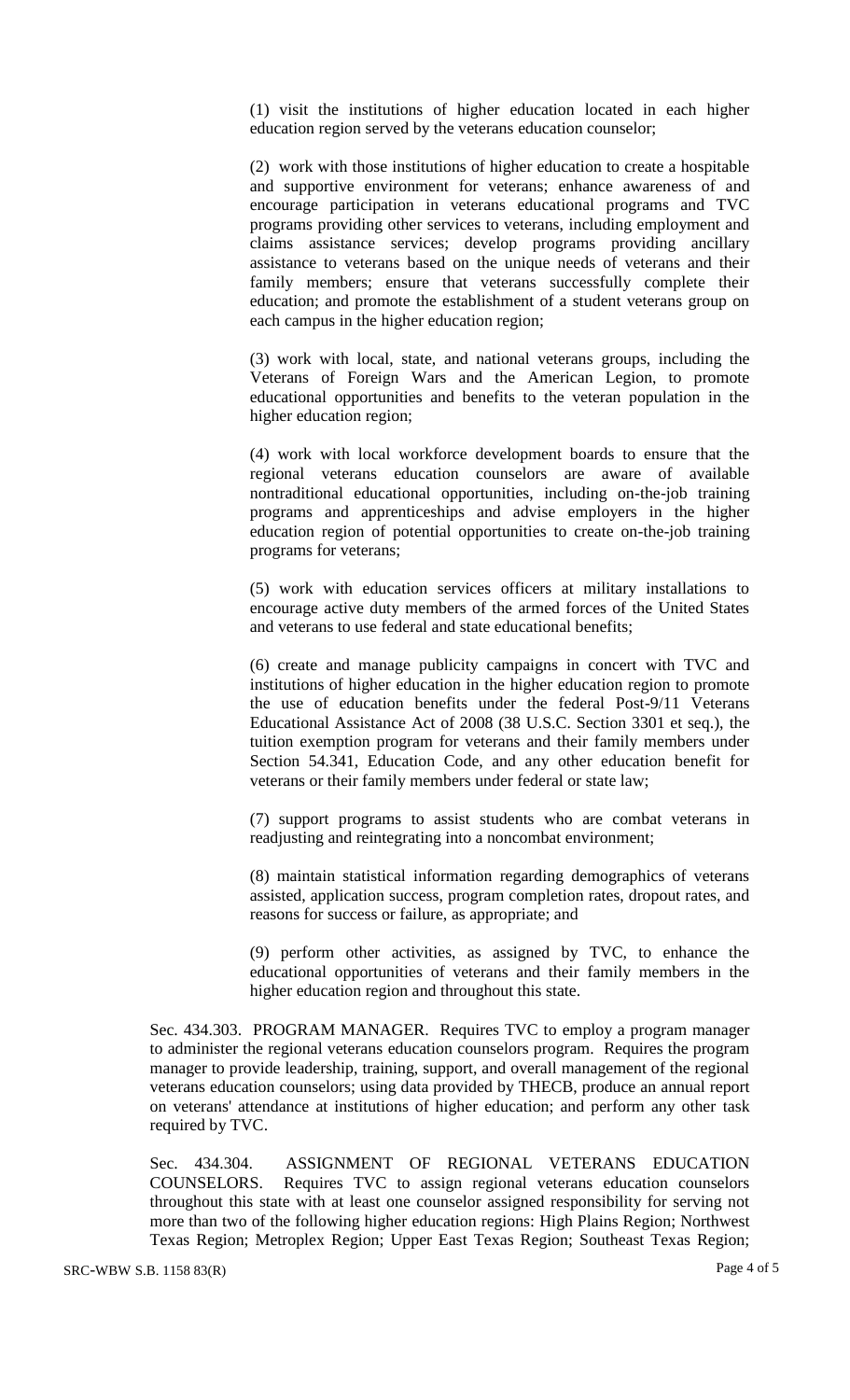(1) visit the institutions of higher education located in each higher education region served by the veterans education counselor;

(2) work with those institutions of higher education to create a hospitable and supportive environment for veterans; enhance awareness of and encourage participation in veterans educational programs and TVC programs providing other services to veterans, including employment and claims assistance services; develop programs providing ancillary assistance to veterans based on the unique needs of veterans and their family members; ensure that veterans successfully complete their education; and promote the establishment of a student veterans group on each campus in the higher education region;

(3) work with local, state, and national veterans groups, including the Veterans of Foreign Wars and the American Legion, to promote educational opportunities and benefits to the veteran population in the higher education region;

(4) work with local workforce development boards to ensure that the regional veterans education counselors are aware of available nontraditional educational opportunities, including on-the-job training programs and apprenticeships and advise employers in the higher education region of potential opportunities to create on-the-job training programs for veterans;

(5) work with education services officers at military installations to encourage active duty members of the armed forces of the United States and veterans to use federal and state educational benefits;

(6) create and manage publicity campaigns in concert with TVC and institutions of higher education in the higher education region to promote the use of education benefits under the federal Post-9/11 Veterans Educational Assistance Act of 2008 (38 U.S.C. Section 3301 et seq.), the tuition exemption program for veterans and their family members under Section 54.341, Education Code, and any other education benefit for veterans or their family members under federal or state law;

(7) support programs to assist students who are combat veterans in readjusting and reintegrating into a noncombat environment;

(8) maintain statistical information regarding demographics of veterans assisted, application success, program completion rates, dropout rates, and reasons for success or failure, as appropriate; and

(9) perform other activities, as assigned by TVC, to enhance the educational opportunities of veterans and their family members in the higher education region and throughout this state.

Sec. 434.303. PROGRAM MANAGER. Requires TVC to employ a program manager to administer the regional veterans education counselors program. Requires the program manager to provide leadership, training, support, and overall management of the regional veterans education counselors; using data provided by THECB, produce an annual report on veterans' attendance at institutions of higher education; and perform any other task required by TVC.

Sec. 434.304. ASSIGNMENT OF REGIONAL VETERANS EDUCATION COUNSELORS. Requires TVC to assign regional veterans education counselors throughout this state with at least one counselor assigned responsibility for serving not more than two of the following higher education regions: High Plains Region; Northwest Texas Region; Metroplex Region; Upper East Texas Region; Southeast Texas Region;